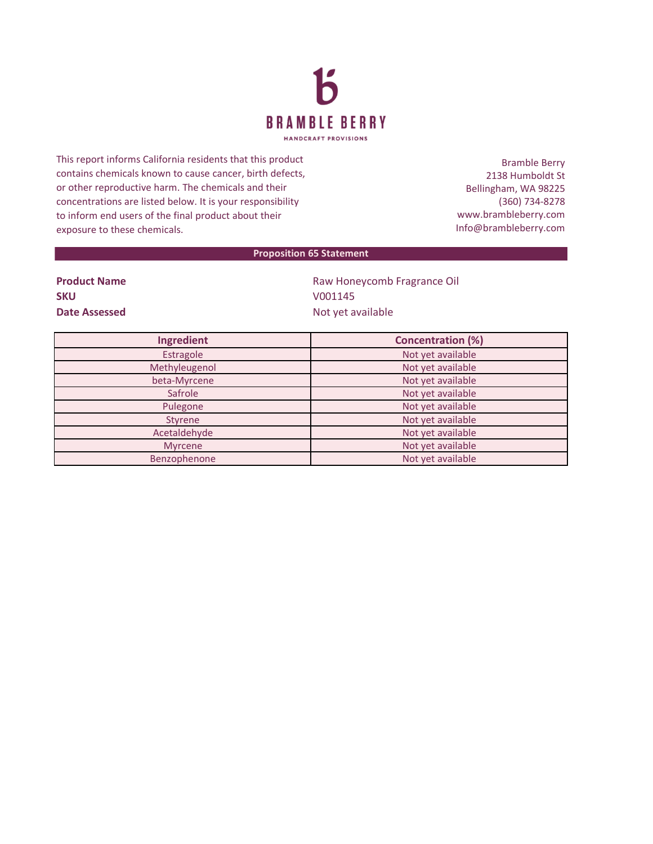

This report informs California residents that this product contains chemicals known to cause cancer, birth defects, or other reproductive harm. The chemicals and their concentrations are listed below. It is your responsibility to inform end users of the final product about their exposure to these chemicals.

Bramble Berry 2138 Humboldt St Bellingham, WA 98225 (360) 734-8278 www.brambleberry.com Info@brambleberry.com

## **Proposition 65 Statement**

| <b>Product Name</b> |  |  |
|---------------------|--|--|
| <b>SKU</b>          |  |  |
| Date Assessed       |  |  |

**Raw Honeycomb Fragrance Oil SKU** V001145 **Date Assessed** Not yet available

| Ingredient     | <b>Concentration (%)</b> |
|----------------|--------------------------|
| Estragole      | Not yet available        |
| Methyleugenol  | Not yet available        |
| beta-Myrcene   | Not yet available        |
| Safrole        | Not yet available        |
| Pulegone       | Not yet available        |
| Styrene        | Not yet available        |
| Acetaldehyde   | Not yet available        |
| <b>Myrcene</b> | Not yet available        |
| Benzophenone   | Not yet available        |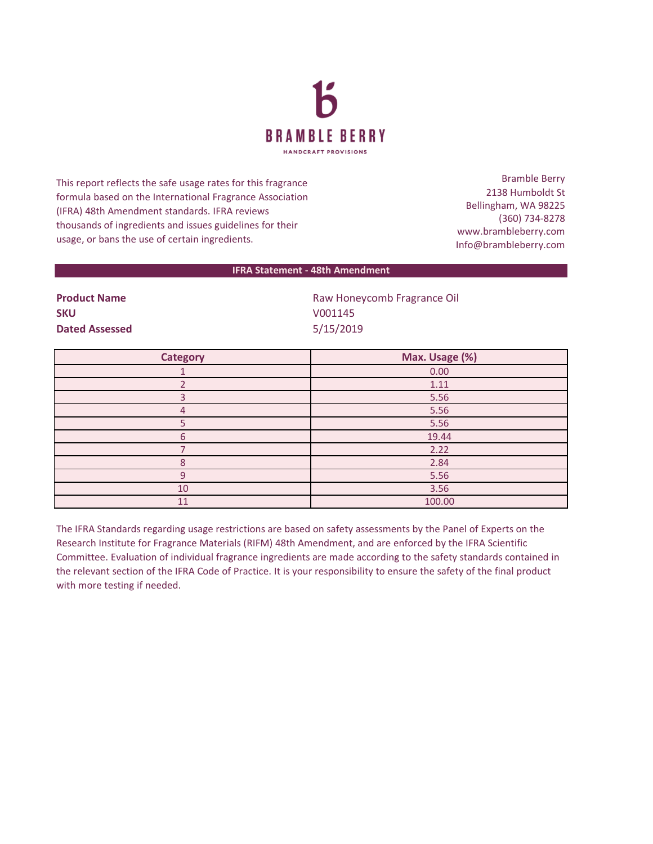

This report reflects the safe usage rates for this fragrance formula based on the International Fragrance Association (IFRA) 48th Amendment standards. IFRA reviews thousands of ingredients and issues guidelines for their usage, or bans the use of certain ingredients.

Bramble Berry 2138 Humboldt St Bellingham, WA 98225 (360) 734-8278 www.brambleberry.com Info@brambleberry.com

## **IFRA Statement - 48th Amendment**

**SKU** V001145 **Dated Assessed** 5/15/2019

**Product Name Raw Honeycomb Fragrance Oil** Raw Honeycomb Fragrance Oil

| <b>Category</b> | Max. Usage (%) |
|-----------------|----------------|
|                 | 0.00           |
|                 | 1.11           |
|                 | 5.56           |
| 4               | 5.56           |
|                 | 5.56           |
| 6               | 19.44          |
|                 | 2.22           |
| $\Omega$        | 2.84           |
| $\Omega$        | 5.56           |
| 10              | 3.56           |
| 11              | 100.00         |

The IFRA Standards regarding usage restrictions are based on safety assessments by the Panel of Experts on the Research Institute for Fragrance Materials (RIFM) 48th Amendment, and are enforced by the IFRA Scientific Committee. Evaluation of individual fragrance ingredients are made according to the safety standards contained in the relevant section of the IFRA Code of Practice. It is your responsibility to ensure the safety of the final product with more testing if needed.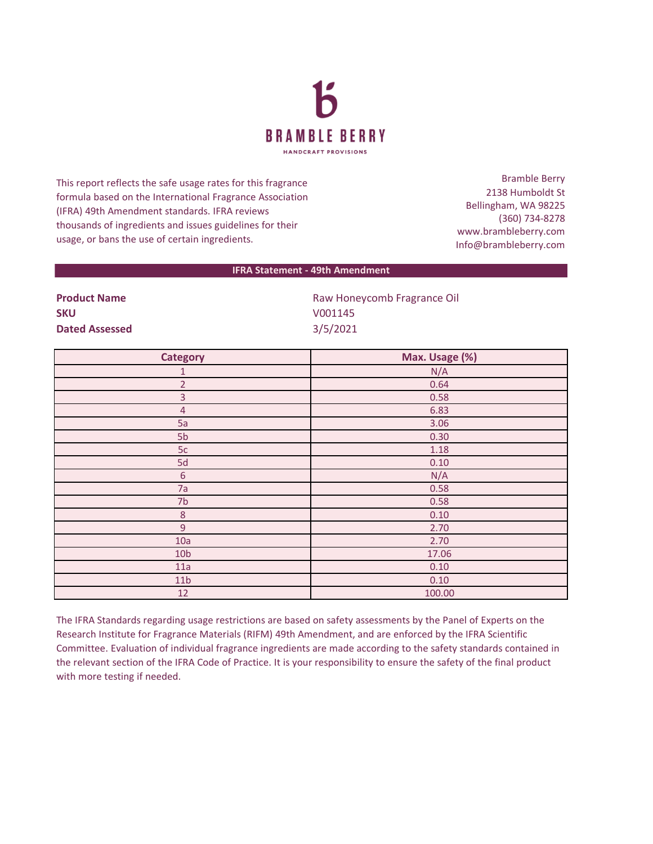

This report reflects the safe usage rates for this fragrance formula based on the International Fragrance Association (IFRA) 49th Amendment standards. IFRA reviews thousands of ingredients and issues guidelines for their usage, or bans the use of certain ingredients.

Bramble Berry 2138 Humboldt St Bellingham, WA 98225 (360) 734-8278 www.brambleberry.com Info@brambleberry.com

## **IFRA Statement - 49th Amendment**

| Proguet Name          |  |
|-----------------------|--|
| <b>SKU</b>            |  |
| <b>Dated Assessed</b> |  |

**Product Name Raw Honeycomb Fragrance Oil** Raw Honeycomb Fragrance Oil **SKU** V001145 **Dated Assessed** 3/5/2021

| <b>Category</b> | Max. Usage (%) |
|-----------------|----------------|
| $\mathbf{1}$    | N/A            |
| $\overline{2}$  | 0.64           |
| $\overline{3}$  | 0.58           |
| $\overline{4}$  | 6.83           |
| 5a              | 3.06           |
| 5 <sub>b</sub>  | 0.30           |
| 5c              | 1.18           |
| 5d              | 0.10           |
| $\sqrt{6}$      | N/A            |
| 7a              | 0.58           |
| 7b              | 0.58           |
| $\,8\,$         | 0.10           |
| 9               | 2.70           |
| 10a             | 2.70           |
| 10 <sub>b</sub> | 17.06          |
| 11a             | 0.10           |
| 11 <sub>b</sub> | 0.10           |
| 12              | 100.00         |

The IFRA Standards regarding usage restrictions are based on safety assessments by the Panel of Experts on the Research Institute for Fragrance Materials (RIFM) 49th Amendment, and are enforced by the IFRA Scientific Committee. Evaluation of individual fragrance ingredients are made according to the safety standards contained in the relevant section of the IFRA Code of Practice. It is your responsibility to ensure the safety of the final product with more testing if needed.